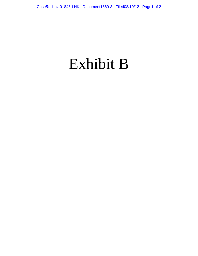## Exhibit B